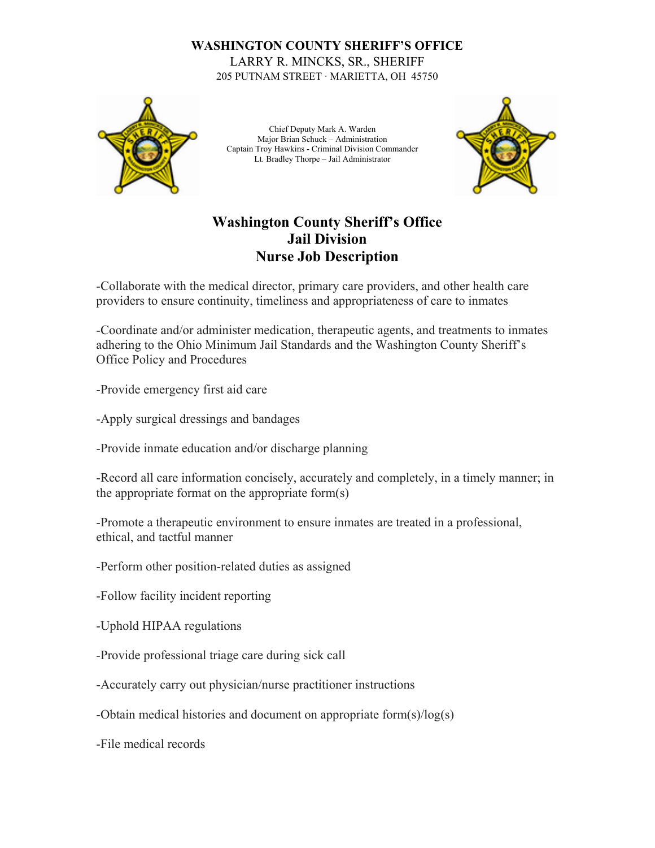## **WASHINGTON COUNTY SHERIFF'S OFFICE** LARRY R. MINCKS, SR., SHERIFF 205 PUTNAM STREET ∙ MARIETTA, OH 45750



Chief Deputy Mark A. Warden Major Brian Schuck – Administration Captain Troy Hawkins - Criminal Division Commander Lt. Bradley Thorpe – Jail Administrator



## **Washington County Sheriff's Office Jail Division Nurse Job Description**

-Collaborate with the medical director, primary care providers, and other health care providers to ensure continuity, timeliness and appropriateness of care to inmates

-Coordinate and/or administer medication, therapeutic agents, and treatments to inmates adhering to the Ohio Minimum Jail Standards and the Washington County Sheriff's Office Policy and Procedures

-Provide emergency first aid care

-Apply surgical dressings and bandages

-Provide inmate education and/or discharge planning

-Record all care information concisely, accurately and completely, in a timely manner; in the appropriate format on the appropriate form(s)

-Promote a therapeutic environment to ensure inmates are treated in a professional, ethical, and tactful manner

-Perform other position-related duties as assigned

-Follow facility incident reporting

-Uphold HIPAA regulations

-Provide professional triage care during sick call

-Accurately carry out physician/nurse practitioner instructions

-Obtain medical histories and document on appropriate form(s)/log(s)

-File medical records